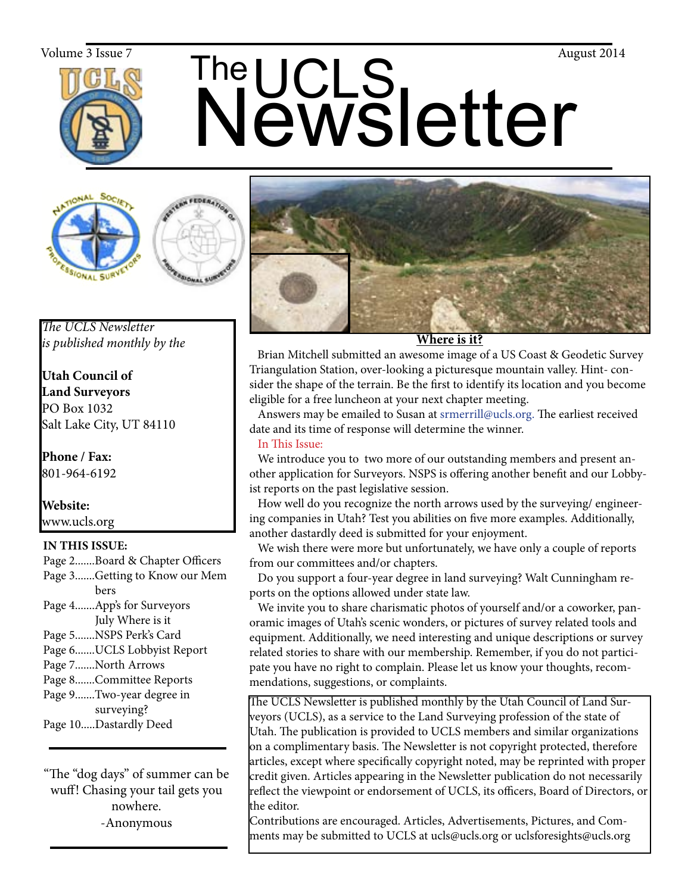

# The UCLS<br>Newsletter Volume 3 Issue 7  $\mathsf{The}$   $\mathsf{C}$   $\mathsf{C}$   $\mathsf{C}$





*The UCLS Newsletter is published monthly by the*

**Utah Council of Land Surveyors** PO Box 1032 Salt Lake City, UT 84110

**Phone / Fax:**  801-964-6192

**Website:** www.ucls.org

# **IN THIS ISSUE:**

- Page 2.......Board & Chapter Officers
- Page 3.......Getting to Know our Mem
- bers Page 4.......App's for Surveyors July Where is it
- Page 5.......NSPS Perk's Card
- Page 6.......UCLS Lobbyist Report
- Page 7.......North Arrows
- Page 8.......Committee Reports
- Page 9.......Two-year degree in surveying?
- Page 10.....Dastardly Deed

"The "dog days" of summer can be wuff! Chasing your tail gets you nowhere. -Anonymous



**Where is it?**

Brian Mitchell submitted an awesome image of a US Coast & Geodetic Survey Triangulation Station, over-looking a picturesque mountain valley. Hint- consider the shape of the terrain. Be the first to identify its location and you become eligible for a free luncheon at your next chapter meeting.

 Answers may be emailed to Susan at srmerrill@ucls.org. The earliest received date and its time of response will determine the winner.

# In This Issue:

 We introduce you to two more of our outstanding members and present another application for Surveyors. NSPS is offering another benefit and our Lobbyist reports on the past legislative session.

 How well do you recognize the north arrows used by the surveying/ engineering companies in Utah? Test you abilities on five more examples. Additionally, another dastardly deed is submitted for your enjoyment.

 We wish there were more but unfortunately, we have only a couple of reports from our committees and/or chapters.

 Do you support a four-year degree in land surveying? Walt Cunningham reports on the options allowed under state law.

 We invite you to share charismatic photos of yourself and/or a coworker, panoramic images of Utah's scenic wonders, or pictures of survey related tools and equipment. Additionally, we need interesting and unique descriptions or survey related stories to share with our membership. Remember, if you do not participate you have no right to complain. Please let us know your thoughts, recommendations, suggestions, or complaints.

The UCLS Newsletter is published monthly by the Utah Council of Land Surveyors (UCLS), as a service to the Land Surveying profession of the state of Utah. The publication is provided to UCLS members and similar organizations on a complimentary basis. The Newsletter is not copyright protected, therefore articles, except where specifically copyright noted, may be reprinted with proper credit given. Articles appearing in the Newsletter publication do not necessarily reflect the viewpoint or endorsement of UCLS, its officers, Board of Directors, or the editor.

Contributions are encouraged. Articles, Advertisements, Pictures, and Comments may be submitted to UCLS at ucls@ucls.org or uclsforesights@ucls.org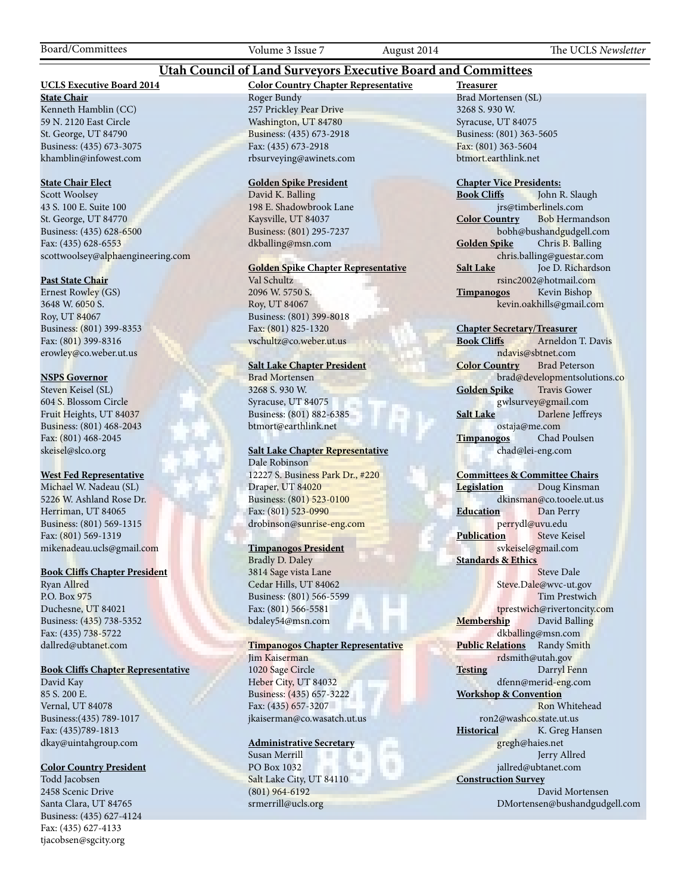Board/Committees Volume 3 Issue 7 August 2014 The UCLS *Newsletter*

### **Utah Council of Land Surveyors Executive Board and Committees**

#### **UCLS Executive Board 2014**

**State Chair** Kenneth Hamblin (CC) 59 N. 2120 East Circle St. George, UT 84790 Business: (435) 673-3075 khamblin@infowest.com

#### **State Chair Elect**

Scott Woolsey 43 S. 100 E. Suite 100 St. George, UT 84770 Business: (435) 628-6500 Fax: (435) 628-6553 scottwoolsey@alphaengineering.com

#### **Past State Chair**

Ernest Rowley (GS) 3648 W. 6050 S. Roy, UT 84067 Business: (801) 399-8353 Fax: (801) 399-8316 erowley@co.weber.ut.us

#### **NSPS Governor**

Steven Keisel (SL) 604 S. Blossom Circle Fruit Heights, UT 84037 Business: (801) 468-2043 Fax: (801) 468-2045 skeisel@slco.org

#### **West Fed Representative**

Michael W. Nadeau (SL) 5226 W. Ashland Rose Dr. Herriman, UT 84065 Business: (801) 569-1315 Fax: (801) 569-1319 mikenadeau.ucls@gmail.com

#### **Book Cliffs Chapter President**

Ryan Allred P.O. Box 975 Duchesne, UT 84021 Business: (435) 738-5352 Fax: (435) 738-5722 dallred@ubtanet.com

#### **Book Cliffs Chapter Representative**

David Kay 85 S. 200 E. Vernal, UT 84078 Business:(435) 789-1017 Fax: (435)789-1813 dkay@uintahgroup.com

#### **Color Country President**

Todd Jacobsen 2458 Scenic Drive Santa Clara, UT 84765 Business: (435) 627-4124 Fax: (435) 627-4133 tjacobsen@sgcity.org

#### **Color Country Chapter Representative** Roger Bundy 257 Prickley Pear Drive Washington, UT 84780 Business: (435) 673-2918 Fax: (435) 673-2918 rbsurveying@awinets.com

#### **Golden Spike President**

David K. Balling 198 E. Shadowbrook Lane Kaysville, UT 84037 Business: (801) 295-7237 dkballing@msn.com

#### **Golden Spike Chapter Representative**

Val Schultz 2096 W. 5750 S. Roy, UT 84067 Business: (801) 399-8018 Fax: (801) 825-1320 vschultz@co.weber.ut.us

#### **Salt Lake Chapter President**

Brad Mortensen 3268 S. 930 W. Syracuse, UT 84075 Business: (801) 882-6385 btmort@earthlink.net

#### **Salt Lake Chapter Representative** Dale Robinson

12227 S. Business Park Dr., #220 Draper, UT 84020 Business: (801) 523-0100 Fax: (801) 523-0990 drobinson@sunrise-eng.com

#### **Timpanogos President**

Bradly D. Daley 3814 Sage vista Lane Cedar Hills, UT 84062 Business: (801) 566-5599 Fax: (801) 566-5581 bdaley54@msn.com

#### **Timpanogos Chapter Representative**

Jim Kaiserman 1020 Sage Circle Heber City, UT 84032 Business: (435) 657-3222 Fax: (435) 657-3207 jkaiserman@co.wasatch.ut.us

#### **Administrative Secretary**

Susan Merrill PO Box 1032 Salt Lake City, UT 84110 (801) 964-6192 srmerrill@ucls.org

**Treasurer** Brad Mortensen (SL) 3268 S. 930 W. Syracuse, UT 84075 Business: (801) 363-5605 Fax: (801) 363-5604 btmort.earthlink.net

# **Chapter Vice Presidents:**

John R. Slaugh jrs@timberlinels.com **Color Country** Bob Hermandson bobh@bushandgudgell.com **Golden Spike** Chris B. Balling chris.balling@guestar.com **Salt Lake** Joe D. Richardson rsinc2002@hotmail.com **Timpanogos** Kevin Bishop kevin.oakhills@gmail.com

#### **Chapter Secretary/Treasurer**

**Book Cliffs** Arneldon T. Davis nd<mark>avis@sbtnet.com</mark><br>untry Brad Peterson **Color Country** brad@developmentsolutions.co **Golden Spike** Travis Gower gwlsurvey@gmail.com **Salt Lake** Darlene Jeffreys ostaja@me.com **Timpanogos** Chad Poulsen chad@lei-eng.com

#### **Committees & Committee Chairs**

**Legislation** Doug Kinsman dkinsman@co.tooele.ut.us **Education** Dan Perry perrydl@uvu.edu **Publication** Steve Keisel svkeisel@gmail.com **Standards & Ethics** Steve Dale Steve.Dale@wvc-ut.gov Tim Prestwich tprestwich@rivertoncity.com **Membership** David Balling dkballing@msn.com **Public Relations** Randy Smith

rdsmith@utah.gov **Testing** Darryl Fenn dfenn@merid-eng.com **Workshop & Convention**

 Ron Whitehead ron2@washco.state.ut.us **Historical** K. Greg Hansen gregh@haies.net

> Jerry Allred jallred@ubtanet.com

**Construction Survey** David Mortensen DMortensen@bushandgudgell.com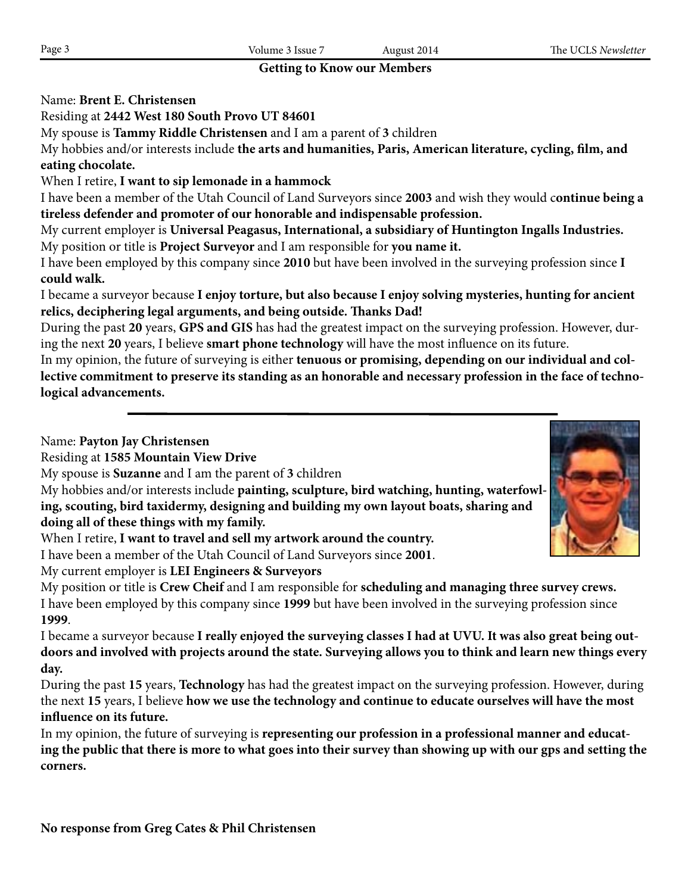# **Getting to Know our Members**

# Name: **Brent E. Christensen**

Residing at **2442 West 180 South Provo UT 84601**

My spouse is **Tammy Riddle Christensen** and I am a parent of **3** children

My hobbies and/or interests include **the arts and humanities, Paris, American literature, cycling, film, and eating chocolate.**

# When I retire, **I want to sip lemonade in a hammock**

I have been a member of the Utah Council of Land Surveyors since **2003** and wish they would c**ontinue being a tireless defender and promoter of our honorable and indispensable profession.**

My current employer is **Universal Peagasus, International, a subsidiary of Huntington Ingalls Industries.** My position or title is **Project Surveyor** and I am responsible for **you name it.**

I have been employed by this company since **2010** but have been involved in the surveying profession since **I could walk.**

I became a surveyor because **I enjoy torture, but also because I enjoy solving mysteries, hunting for ancient relics, deciphering legal arguments, and being outside. Thanks Dad!**

During the past **20** years, **GPS and GIS** has had the greatest impact on the surveying profession. However, during the next **20** years, I believe **smart phone technology** will have the most influence on its future.

In my opinion, the future of surveying is either **tenuous or promising, depending on our individual and collective commitment to preserve its standing as an honorable and necessary profession in the face of technological advancements.**

Name: **Payton Jay Christensen**

Residing at **1585 Mountain View Drive**

My spouse is **Suzanne** and I am the parent of **3** children

My hobbies and/or interests include **painting, sculpture, bird watching, hunting, waterfowling, scouting, bird taxidermy, designing and building my own layout boats, sharing and doing all of these things with my family.**

When I retire, **I want to travel and sell my artwork around the country.**

My current employer is **LEI Engineers & Surveyors**

My position or title is **Crew Cheif** and I am responsible for **scheduling and managing three survey crews.** I have been employed by this company since **1999** but have been involved in the surveying profession since **1999**.

I became a surveyor because **I really enjoyed the surveying classes I had at UVU. It was also great being outdoors and involved with projects around the state. Surveying allows you to think and learn new things every day.**

During the past **15** years, **Technology** has had the greatest impact on the surveying profession. However, during the next **15** years, I believe **how we use the technology and continue to educate ourselves will have the most influence on its future.**

In my opinion, the future of surveying is **representing our profession in a professional manner and educating the public that there is more to what goes into their survey than showing up with our gps and setting the corners.**



I have been a member of the Utah Council of Land Surveyors since **2001**.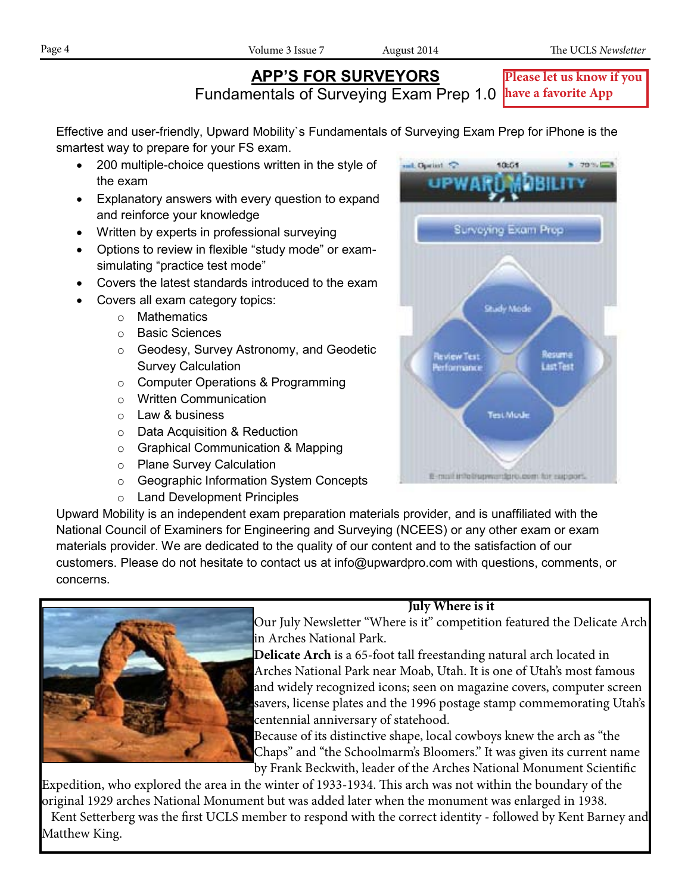# **APP'S FOR SURVEYORS**

 $-70%$ 

**Please let us know if you** 

Fundamentals of Surveying Exam Prep 1.0 **have a favorite App**

L Opelint 52

Effective and user-friendly, Upward Mobility`s Fundamentals of Surveying Exam Prep for iPhone is the smartest way to prepare for your FS exam.

- 200 multiple-choice questions written in the style of the exam
- Explanatory answers with every question to expand and reinforce your knowledge
- Written by experts in professional surveying
- Options to review in flexible "study mode" or examsimulating "practice test mode"
- Covers the latest standards introduced to the exam
- Covers all exam category topics:
	- o Mathematics
	- o Basic Sciences
	- o Geodesy, Survey Astronomy, and Geodetic Survey Calculation
	- o Computer Operations & Programming
	- o Written Communication
	- o Law & business
	- o Data Acquisition & Reduction
	- o Graphical Communication & Mapping
	- o Plane Survey Calculation
	- o Geographic Information System Concepts
	- o Land Development Principles

Upward Mobility is an independent exam preparation materials provider, and is unaffiliated with the National Council of Examiners for Engineering and Surveying (NCEES) or any other exam or exam materials provider. We are dedicated to the quality of our content and to the satisfaction of our customers. Please do not hesitate to contact us at info@upwardpro.com with questions, comments, or concerns.





10:51

Surveying Exam Prep

# **July Where is it**

 Our July Newsletter "Where is it" competition featured the Delicate Arch in Arches National Park.

 **Delicate Arch** is a 65-foot tall freestanding natural arch located in Arches National Park near Moab, Utah. It is one of Utah's most famous and widely recognized icons; seen on magazine covers, computer screen savers, license plates and the 1996 postage stamp commemorating Utah's centennial anniversary of statehood.

 Because of its distinctive shape, local cowboys knew the arch as "the Chaps" and "the Schoolmarm's Bloomers." It was given its current name by Frank Beckwith, leader of the Arches National Monument Scientific

Expedition, who explored the area in the winter of 1933-1934. This arch was not within the boundary of the original 1929 arches National Monument but was added later when the monument was enlarged in 1938. Kent Setterberg was the first UCLS member to respond with the correct identity - followed by Kent Barney and Matthew King.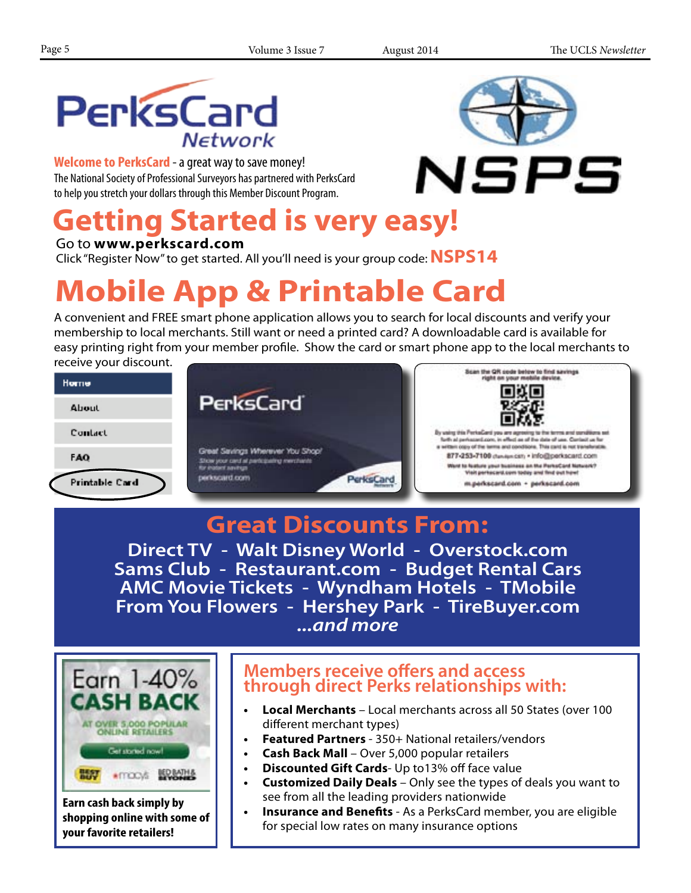

**Welcome to PerksCard** - a great way to save money! The National Society of Professional Surveyors has partnered with PerksCard to help you stretch your dollars through this Member Discount Program.

# **Getting Started is very easy!**

Go to **www.perkscard.com**

Click "Register Now" to get started. All you'll need is your group code:**NSPS14**

# **Mobile App & Printable Card**

A convenient and FREE smart phone application allows you to search for local discounts and verify your membership to local merchants. Still want or need a printed card? A downloadable card is available for easy printing right from your member profile. Show the card or smart phone app to the local merchants to receive your discount.



# **Great Discounts From:**

**Direct TV - Walt Disney World - Overstock.com Sams Club - Restaurant.com - Budget Rental Cars AMC Movie Tickets - Wyndham Hotels - TMobile From You Flowers - Hershey Park - TireBuyer.com** *...and more*



**Earn cash back simply by shopping online with some of your favorite retailers!**

# **Members receive offers and access through direct Perks relationships with:**

- **• Local Merchants** Local merchants across all 50 States (over 100 different merchant types)
- **Featured Partners** 350+ National retailers/vendors
- **• Cash Back Mall** Over 5,000 popular retailers
- **• Discounted Gift Cards** Up to13% off face value
- **• Customized Daily Deals** Only see the types of deals you want to see from all the leading providers nationwide
- **• Insurance and Benefits** As a PerksCard member, you are eligible for special low rates on many insurance options

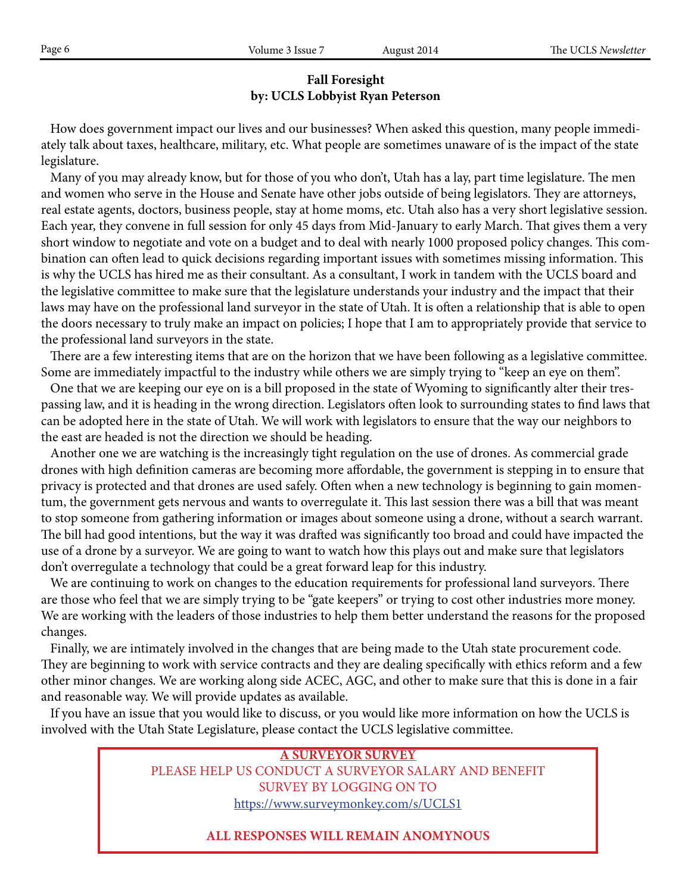# **Fall Foresight by: UCLS Lobbyist Ryan Peterson**

 How does government impact our lives and our businesses? When asked this question, many people immediately talk about taxes, healthcare, military, etc. What people are sometimes unaware of is the impact of the state legislature.

 Many of you may already know, but for those of you who don't, Utah has a lay, part time legislature. The men and women who serve in the House and Senate have other jobs outside of being legislators. They are attorneys, real estate agents, doctors, business people, stay at home moms, etc. Utah also has a very short legislative session. Each year, they convene in full session for only 45 days from Mid-January to early March. That gives them a very short window to negotiate and vote on a budget and to deal with nearly 1000 proposed policy changes. This combination can often lead to quick decisions regarding important issues with sometimes missing information. This is why the UCLS has hired me as their consultant. As a consultant, I work in tandem with the UCLS board and the legislative committee to make sure that the legislature understands your industry and the impact that their laws may have on the professional land surveyor in the state of Utah. It is often a relationship that is able to open the doors necessary to truly make an impact on policies; I hope that I am to appropriately provide that service to the professional land surveyors in the state.

 There are a few interesting items that are on the horizon that we have been following as a legislative committee. Some are immediately impactful to the industry while others we are simply trying to "keep an eye on them".

 One that we are keeping our eye on is a bill proposed in the state of Wyoming to significantly alter their trespassing law, and it is heading in the wrong direction. Legislators often look to surrounding states to find laws that can be adopted here in the state of Utah. We will work with legislators to ensure that the way our neighbors to the east are headed is not the direction we should be heading.

 Another one we are watching is the increasingly tight regulation on the use of drones. As commercial grade drones with high definition cameras are becoming more affordable, the government is stepping in to ensure that privacy is protected and that drones are used safely. Often when a new technology is beginning to gain momentum, the government gets nervous and wants to overregulate it. This last session there was a bill that was meant to stop someone from gathering information or images about someone using a drone, without a search warrant. The bill had good intentions, but the way it was drafted was significantly too broad and could have impacted the use of a drone by a surveyor. We are going to want to watch how this plays out and make sure that legislators don't overregulate a technology that could be a great forward leap for this industry.

 We are continuing to work on changes to the education requirements for professional land surveyors. There are those who feel that we are simply trying to be "gate keepers" or trying to cost other industries more money. We are working with the leaders of those industries to help them better understand the reasons for the proposed changes.

 Finally, we are intimately involved in the changes that are being made to the Utah state procurement code. They are beginning to work with service contracts and they are dealing specifically with ethics reform and a few other minor changes. We are working along side ACEC, AGC, and other to make sure that this is done in a fair and reasonable way. We will provide updates as available.

 If you have an issue that you would like to discuss, or you would like more information on how the UCLS is involved with the Utah State Legislature, please contact the UCLS legislative committee.

> **A SURVEYOR SURVEY** PLEASE HELP US CONDUCT A SURVEYOR SALARY AND BENEFIT SURVEY BY LOGGING ON TO https://www.surveymonkey.com/s/UCLS1

# **ALL RESPONSES WILL REMAIN ANOMYNOUS**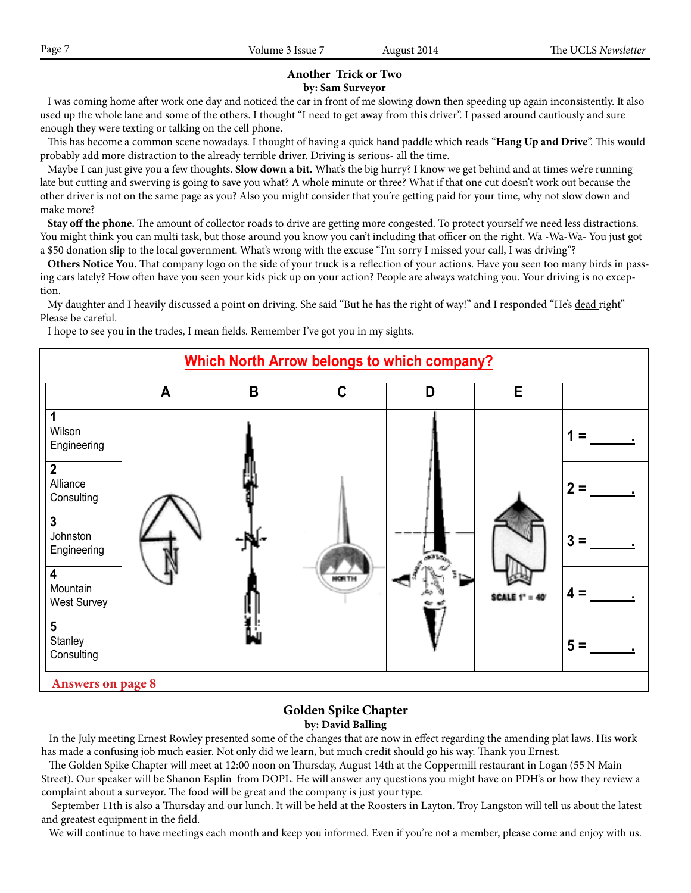# **Another Trick or Two**

#### **by: Sam Surveyor**

 I was coming home after work one day and noticed the car in front of me slowing down then speeding up again inconsistently. It also used up the whole lane and some of the others. I thought "I need to get away from this driver". I passed around cautiously and sure enough they were texting or talking on the cell phone.

 This has become a common scene nowadays. I thought of having a quick hand paddle which reads "**Hang Up and Drive**". This would probably add more distraction to the already terrible driver. Driving is serious- all the time.

 Maybe I can just give you a few thoughts. **Slow down a bit.** What's the big hurry? I know we get behind and at times we're running late but cutting and swerving is going to save you what? A whole minute or three? What if that one cut doesn't work out because the other driver is not on the same page as you? Also you might consider that you're getting paid for your time, why not slow down and make more?

 **Stay off the phone.** The amount of collector roads to drive are getting more congested. To protect yourself we need less distractions. You might think you can multi task, but those around you know you can't including that officer on the right. Wa -Wa-Wa- You just got a \$50 donation slip to the local government. What's wrong with the excuse "I'm sorry I missed your call, I was driving"?

 **Others Notice You.** That company logo on the side of your truck is a reflection of your actions. Have you seen too many birds in passing cars lately? How often have you seen your kids pick up on your action? People are always watching you. Your driving is no exception.

My daughter and I heavily discussed a point on driving. She said "But he has the right of way!" and I responded "He's dead right" Please be careful.

I hope to see you in the trades, I mean fields. Remember I've got you in my sights.



### **Golden Spike Chapter by: David Balling**

 In the July meeting Ernest Rowley presented some of the changes that are now in effect regarding the amending plat laws. His work has made a confusing job much easier. Not only did we learn, but much credit should go his way. Thank you Ernest.

 The Golden Spike Chapter will meet at 12:00 noon on Thursday, August 14th at the Coppermill restaurant in Logan (55 N Main Street). Our speaker will be Shanon Esplin from DOPL. He will answer any questions you might have on PDH's or how they review a complaint about a surveyor. The food will be great and the company is just your type.

 September 11th is also a Thursday and our lunch. It will be held at the Roosters in Layton. Troy Langston will tell us about the latest and greatest equipment in the field.

We will continue to have meetings each month and keep you informed. Even if you're not a member, please come and enjoy with us.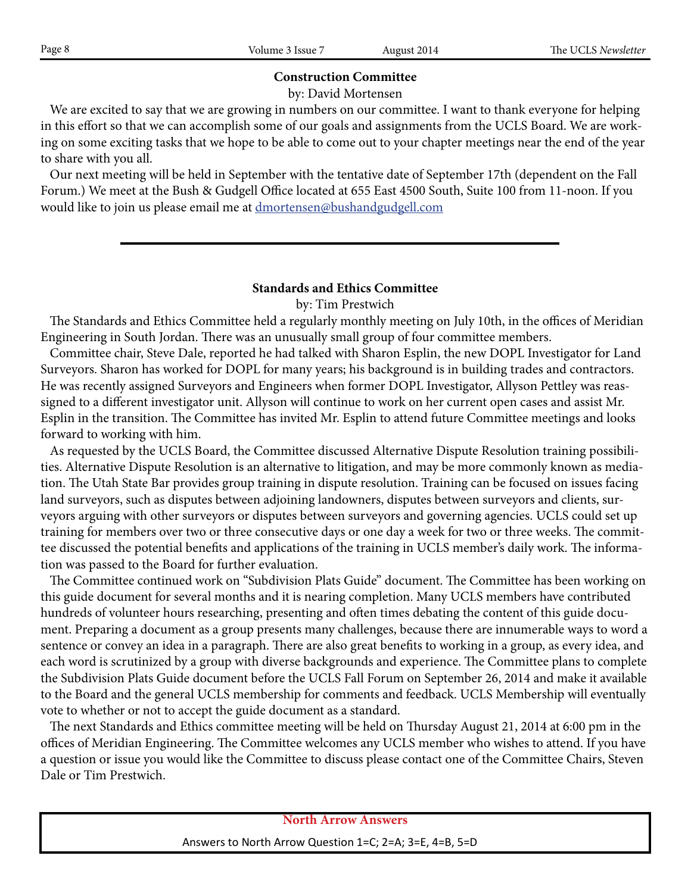### **Construction Committee**

by: David Mortensen

 We are excited to say that we are growing in numbers on our committee. I want to thank everyone for helping in this effort so that we can accomplish some of our goals and assignments from the UCLS Board. We are working on some exciting tasks that we hope to be able to come out to your chapter meetings near the end of the year to share with you all.

 Our next meeting will be held in September with the tentative date of September 17th (dependent on the Fall Forum.) We meet at the Bush & Gudgell Office located at 655 East 4500 South, Suite 100 from 11-noon. If you would like to join us please email me at dmortensen@bushandgudgell.com

## **Standards and Ethics Committee**

by: Tim Prestwich

 The Standards and Ethics Committee held a regularly monthly meeting on July 10th, in the offices of Meridian Engineering in South Jordan. There was an unusually small group of four committee members.

 Committee chair, Steve Dale, reported he had talked with Sharon Esplin, the new DOPL Investigator for Land Surveyors. Sharon has worked for DOPL for many years; his background is in building trades and contractors. He was recently assigned Surveyors and Engineers when former DOPL Investigator, Allyson Pettley was reassigned to a different investigator unit. Allyson will continue to work on her current open cases and assist Mr. Esplin in the transition. The Committee has invited Mr. Esplin to attend future Committee meetings and looks **Which North Arrow belongs to which company?** forward to working with him.

As requested by the UCLS Board, the Committee discussed Alternative Dispute Resolution training possibilities. Alternative Dispute Resolution is an alternative to litigation, and may be more commonly known as mediation. The Utah State Bar provides group training in dispute resolution. Training can be focused on issues facing **1** land surveyors, such as disputes between adjoining landowners, disputes between surveyors and clients, surland surveyors, such as disputes between adjoining landowners, disputes between surveyors and clients, sur-<br>veyors arguing with other surveyors or disputes between surveyors and governing agencies. UCLS could set up training for members over two or three consecutive days or one day a week for two or three weeks. The committee discussed the potential benefits and applications of the training in UCLS member's daily work. The informa-**2** tion was passed to the Board for further evaluation.

tion was passed to the Board for further evaluation.<br>The Committee continued work on "Subdivision Plats Guide" document. The Committee has been working on this guide document for several months and it is nearing completion. Many UCLS members have contributed ans guide document for several months and it is hearing completion. Many OCES members have contributed<br>hundreds of volunteer hours researching, presenting and often times debating the content of this guide document. Preparing a document as a group presents many challenges, because there are innumerable ways to word a sentence or convey an idea in a paragraph. There are also great benefits to working in a group, as every idea, and each word is scrutinized by a group with diverse backgrounds and experience. The Committee plans to complete the Subdivision Plats Guide document before the UCLS Fall Forum on September 26, 2014 and make it available to the Board and the general UCLS membership for comments and feedback. UCLS Membership will eventually to the Board and the general UCLS membership for comments and feedback. UCLS Membership will eventually vote to whether or not to accept the guide document as a standard.  $\frac{1}{2}$  denotes the set of  $\frac{1}{2}$ 

 The next Standards and Ethics committee meeting will be held on Thursday August 21, 2014 at 6:00 pm in the **5** offices of Meridian Engineering. The Committee welcomes any UCLS member who wishes to attend. If you have offices of Meridian Engineering. The Committee welcomes any UCLS member who wishes to attend. If you have<br>a question or issue you would like the Committee to discuss please contact one of the Committee Chairs, Steven Dale or Tim Prestwich.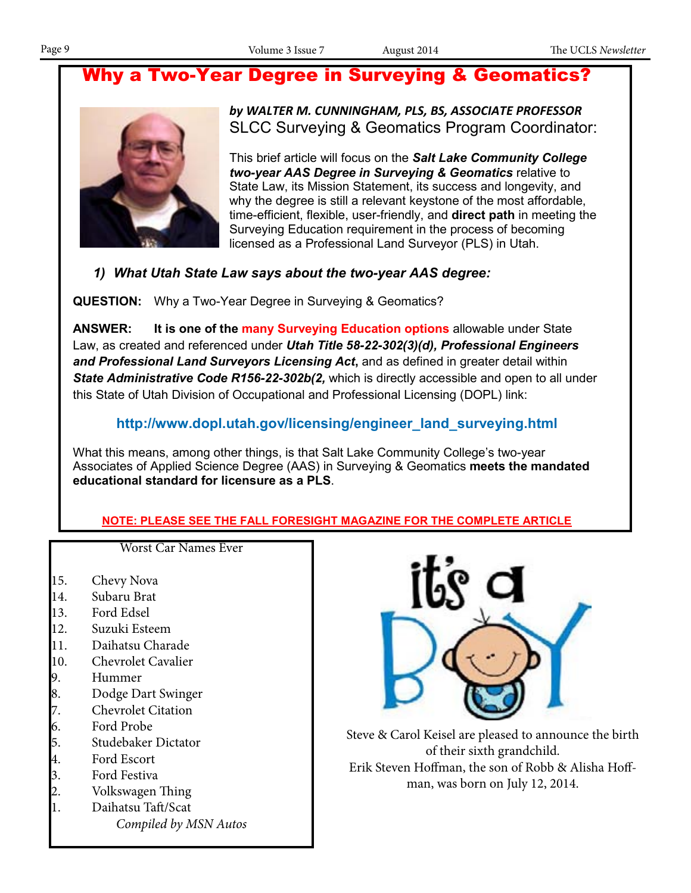# Why a Two-Year Degree in Surveying & Geomatics?



*by WALTER M. CUNNINGHAM, PLS, BS, ASSOCIATE PROFESSOR* SLCC Surveying & Geomatics Program Coordinator:

This brief article will focus on the *Salt Lake Community College two-year AAS Degree in Surveying & Geomatics* relative to State Law, its Mission Statement, its success and longevity, and why the degree is still a relevant keystone of the most affordable, time-efficient, flexible, user-friendly, and **direct path** in meeting the Surveying Education requirement in the process of becoming licensed as a Professional Land Surveyor (PLS) in Utah.

# *1) What Utah State Law says about the two-year AAS degree:*

**QUESTION:** Why a Two-Year Degree in Surveying & Geomatics?

**ANSWER: It is one of the many Surveying Education options** allowable under State Law, as created and referenced under *Utah Title 58-22-302(3)(d), Professional Engineers and Professional Land Surveyors Licensing Act***,** and as defined in greater detail within State Administrative Code R156-22-302b(2, which is directly accessible and open to all under this State of Utah Division of Occupational and Professional Licensing (DOPL) link:

# **http://www.dopl.utah.gov/licensing/engineer\_land\_surveying.html**

What this means, among other things, is that Salt Lake Community College's two-year Associates of Applied Science Degree (AAS) in Surveying & Geomatics **meets the mandated educational standard for licensure as a PLS**.

# **NOTE: PLEASE SEE THE FALL FORESIGHT MAGAZINE FOR THE COMPLETE ARTICLE**

15. Chevy Nova

Worst Car Names Ever

- 14. Subaru Brat
- 13. Ford Edsel
- 12. Suzuki Esteem
- 11. Daihatsu Charade
- 
- 10. Chevrolet Cavalier
- 9. Hummer
- 8. Dodge Dart Swinger
- 7. Chevrolet Citation<br>6. Ford Probe
- 6. Ford Probe
- 5. Studebaker Dictator
- 4. Ford Escort
- 
- 3. Ford Festiva<br>2. Volkswagen 2. Volkswagen Thing
- 1. Daihatsu Taft/Scat *Compiled by MSN Autos*



Steve & Carol Keisel are pleased to announce the birth of their sixth grandchild. Erik Steven Hoffman, the son of Robb & Alisha Hoffman, was born on July 12, 2014.